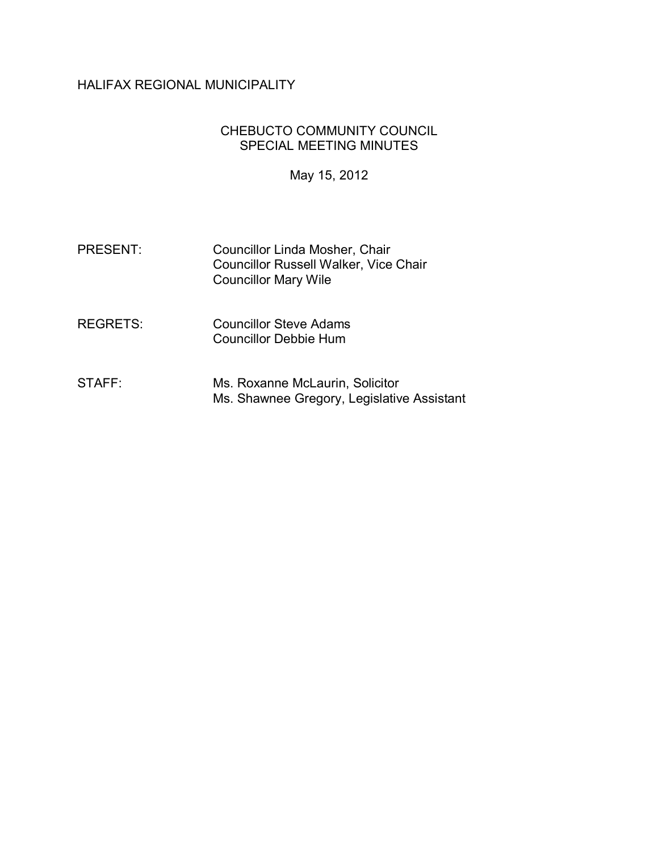# HALIFAX REGIONAL MUNICIPALITY

### CHEBUCTO COMMUNITY COUNCIL SPECIAL MEETING MINUTES

May 15, 2012

- PRESENT: Councillor Linda Mosher, Chair Councillor Russell Walker, Vice Chair Councillor Mary Wile
- REGRETS: Councillor Steve Adams Councillor Debbie Hum
- STAFF: Ms. Roxanne McLaurin, Solicitor Ms. Shawnee Gregory, Legislative Assistant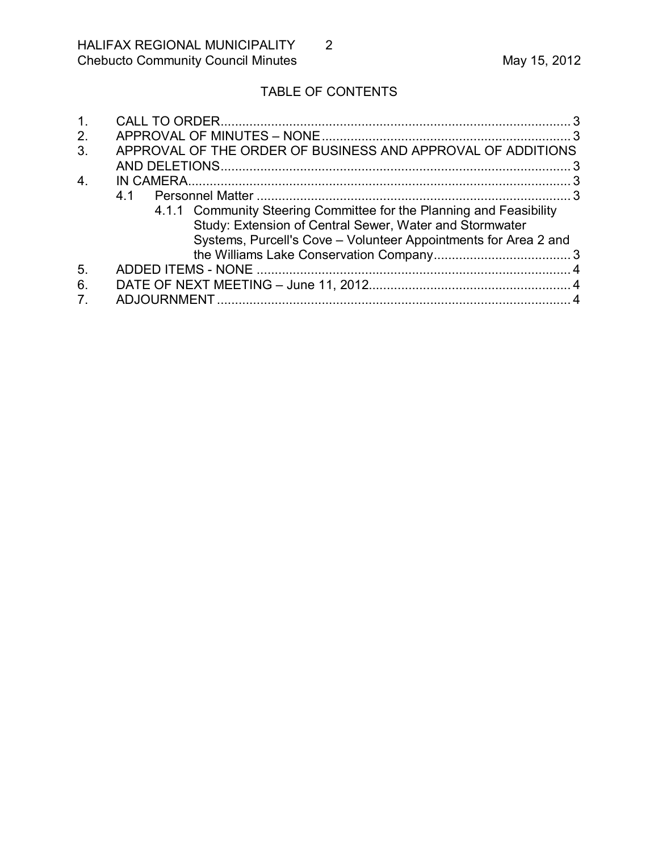# TABLE OF CONTENTS

| $\mathbf 1$ .    |                                                                                                                                                                                                   |  |
|------------------|---------------------------------------------------------------------------------------------------------------------------------------------------------------------------------------------------|--|
| 2.               |                                                                                                                                                                                                   |  |
| $\mathbf{3}$     | APPROVAL OF THE ORDER OF BUSINESS AND APPROVAL OF ADDITIONS                                                                                                                                       |  |
|                  |                                                                                                                                                                                                   |  |
| $\overline{4}$ . |                                                                                                                                                                                                   |  |
|                  | 41                                                                                                                                                                                                |  |
|                  | 4.1.1 Community Steering Committee for the Planning and Feasibility<br>Study: Extension of Central Sewer, Water and Stormwater<br>Systems, Purcell's Cove - Volunteer Appointments for Area 2 and |  |
|                  |                                                                                                                                                                                                   |  |
| 5.               |                                                                                                                                                                                                   |  |
| 6.               |                                                                                                                                                                                                   |  |
| $7_{\cdot}$      |                                                                                                                                                                                                   |  |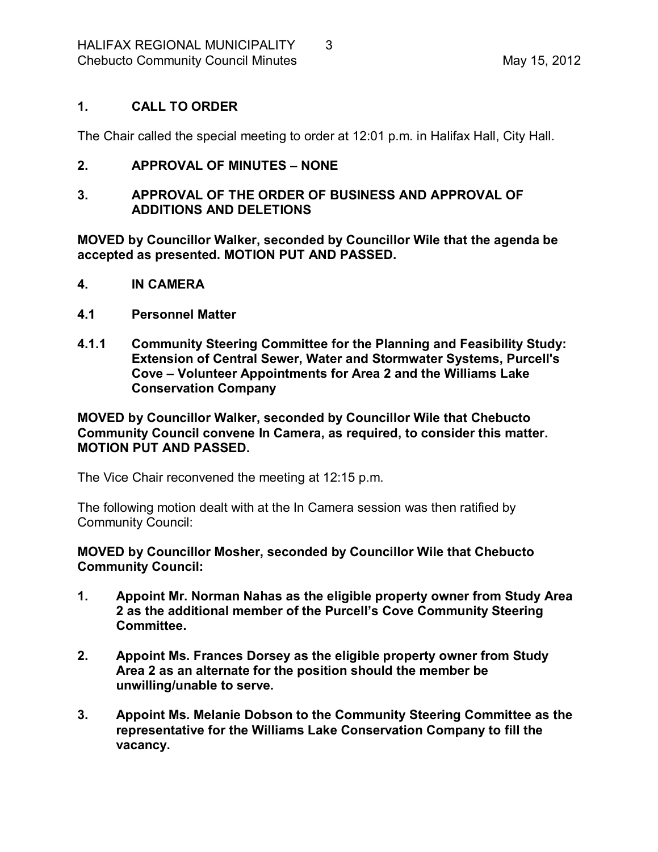## <span id="page-2-0"></span>**1. CALL TO ORDER**

The Chair called the special meeting to order at 12:01 p.m. in Halifax Hall, City Hall.

### <span id="page-2-1"></span>**2. APPROVAL OF MINUTES – NONE**

#### <span id="page-2-2"></span>**3. APPROVAL OF THE ORDER OF BUSINESS AND APPROVAL OF ADDITIONS AND DELETIONS**

**MOVED by Councillor Walker, seconded by Councillor Wile that the agenda be accepted as presented. MOTION PUT AND PASSED.** 

- <span id="page-2-3"></span>**4. IN CAMERA**
- <span id="page-2-4"></span>**4.1 Personnel Matter**
- <span id="page-2-5"></span>**4.1.1 Community Steering Committee for the Planning and Feasibility Study: Extension of Central Sewer, Water and Stormwater Systems, Purcell's Cove – Volunteer Appointments for Area 2 and the Williams Lake Conservation Company**

**MOVED by Councillor Walker, seconded by Councillor Wile that Chebucto Community Council convene In Camera, as required, to consider this matter. MOTION PUT AND PASSED.**

The Vice Chair reconvened the meeting at 12:15 p.m.

The following motion dealt with at the In Camera session was then ratified by Community Council:

**MOVED by Councillor Mosher, seconded by Councillor Wile that Chebucto Community Council:**

- **1. Appoint Mr. Norman Nahas as the eligible property owner from Study Area 2 as the additional member of the Purcell's Cove Community Steering Committee.**
- **2. Appoint Ms. Frances Dorsey as the eligible property owner from Study Area 2 as an alternate for the position should the member be unwilling/unable to serve.**
- **3. Appoint Ms. Melanie Dobson to the Community Steering Committee as the representative for the Williams Lake Conservation Company to fill the vacancy.**